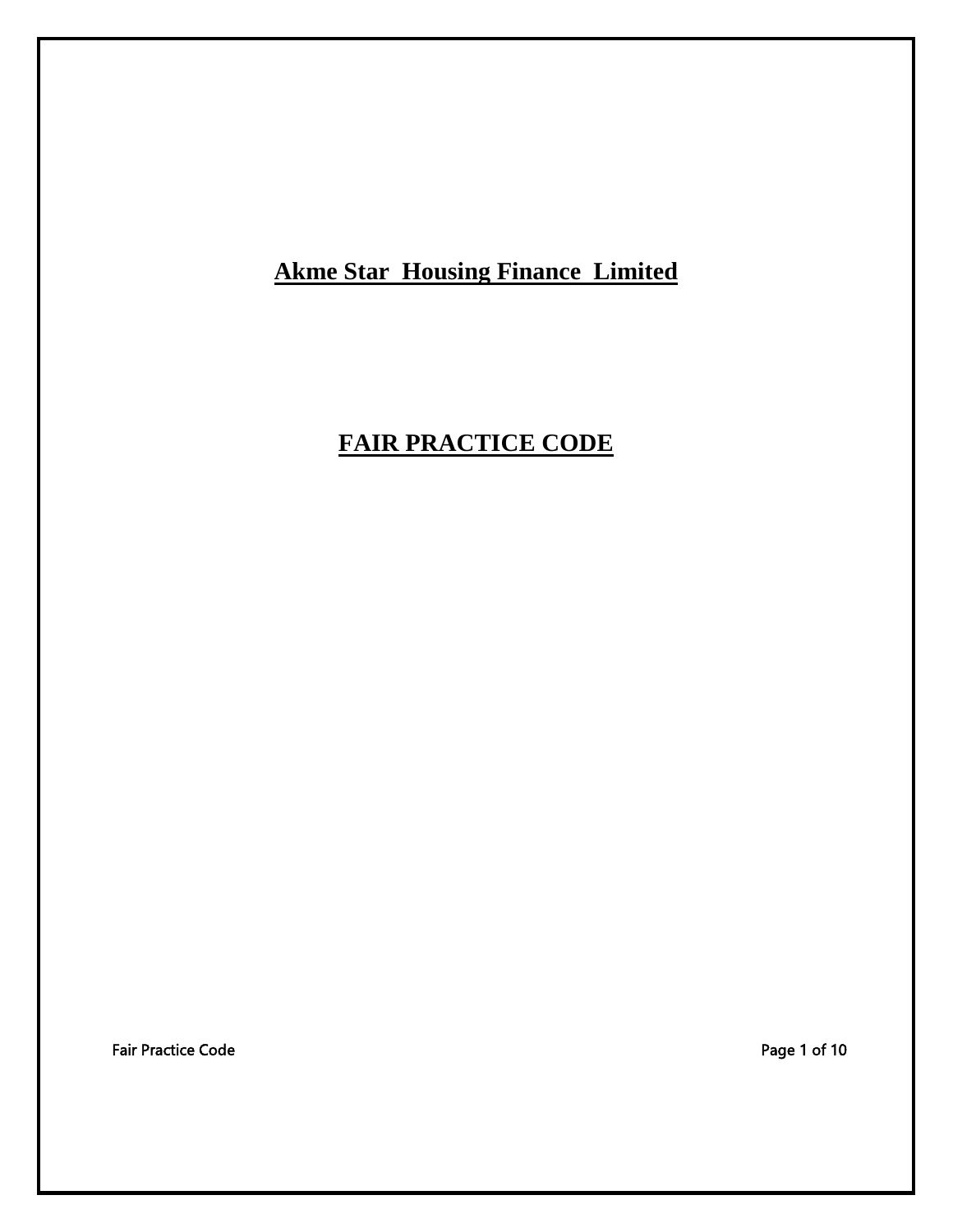**Akme Star Housing Finance Limited**

# **FAIR PRACTICE CODE**

Fair Practice Code **Page 1 of 10**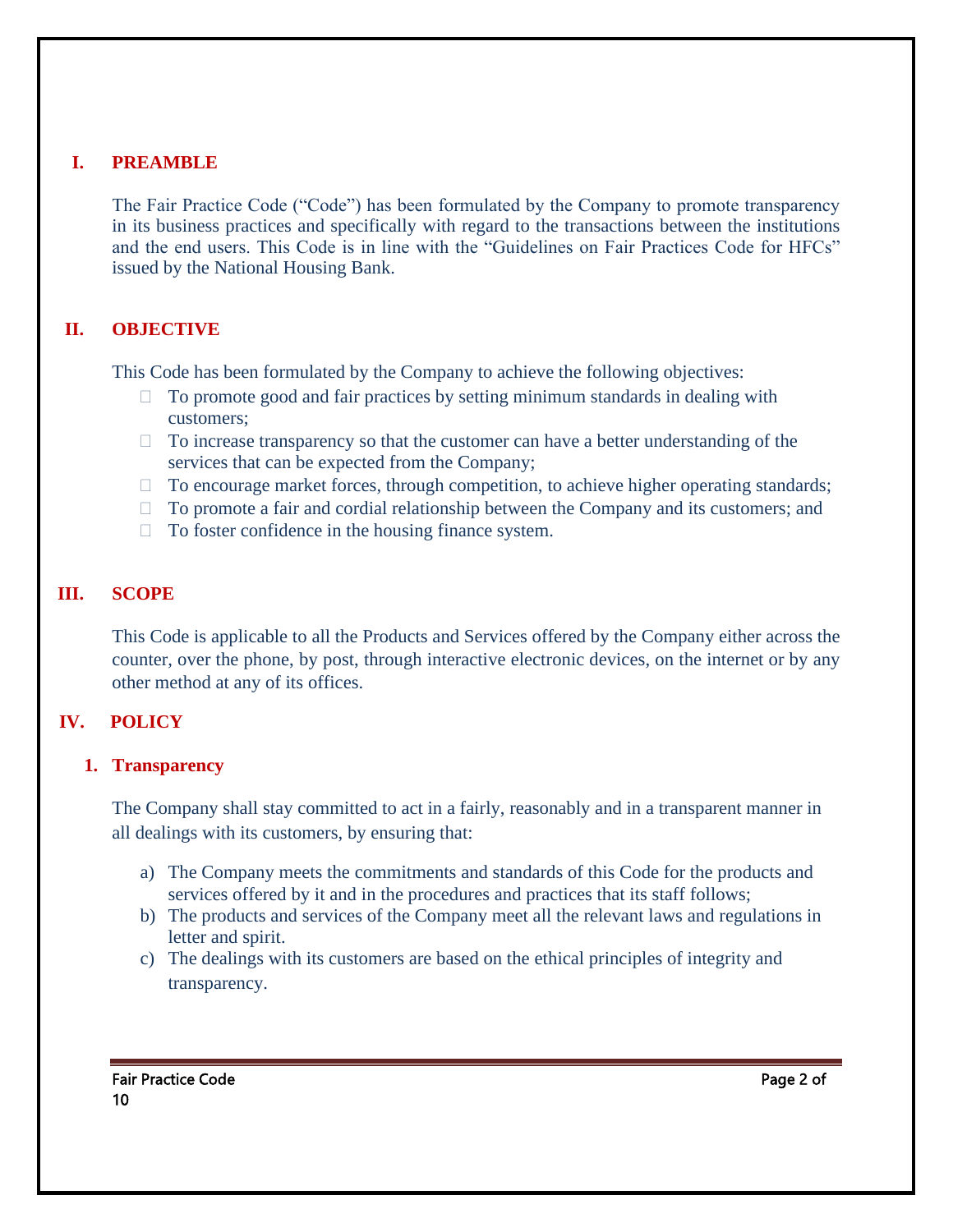#### **I. PREAMBLE**

The Fair Practice Code ("Code") has been formulated by the Company to promote transparency in its business practices and specifically with regard to the transactions between the institutions and the end users. This Code is in line with the "Guidelines on Fair Practices Code for HFCs" issued by the National Housing Bank.

# **II. OBJECTIVE**

This Code has been formulated by the Company to achieve the following objectives:

- $\Box$  To promote good and fair practices by setting minimum standards in dealing with customers;
- $\Box$  To increase transparency so that the customer can have a better understanding of the services that can be expected from the Company;
- $\Box$  To encourage market forces, through competition, to achieve higher operating standards;
- $\Box$  To promote a fair and cordial relationship between the Company and its customers; and
- $\Box$  To foster confidence in the housing finance system.

# **III. SCOPE**

This Code is applicable to all the Products and Services offered by the Company either across the counter, over the phone, by post, through interactive electronic devices, on the internet or by any other method at any of its offices.

#### **IV. POLICY**

#### **1. Transparency**

The Company shall stay committed to act in a fairly, reasonably and in a transparent manner in all dealings with its customers, by ensuring that:

- a) The Company meets the commitments and standards of this Code for the products and services offered by it and in the procedures and practices that its staff follows;
- b) The products and services of the Company meet all the relevant laws and regulations in letter and spirit.
- c) The dealings with its customers are based on the ethical principles of integrity and transparency.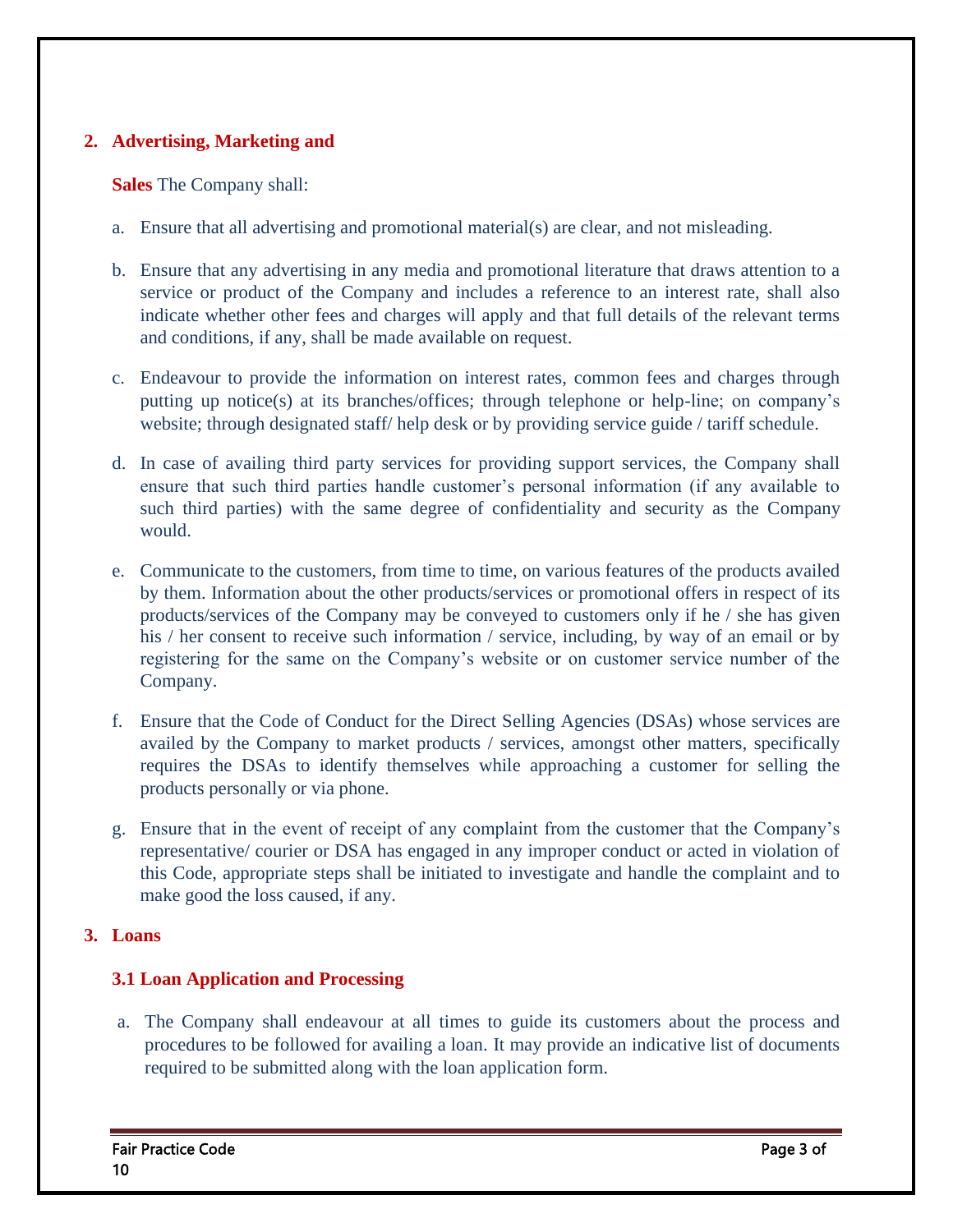#### **2. Advertising, Marketing and**

#### **Sales** The Company shall:

- a. Ensure that all advertising and promotional material(s) are clear, and not misleading.
- b. Ensure that any advertising in any media and promotional literature that draws attention to a service or product of the Company and includes a reference to an interest rate, shall also indicate whether other fees and charges will apply and that full details of the relevant terms and conditions, if any, shall be made available on request.
- c. Endeavour to provide the information on interest rates, common fees and charges through putting up notice(s) at its branches/offices; through telephone or help-line; on company's website; through designated staff/ help desk or by providing service guide / tariff schedule.
- d. In case of availing third party services for providing support services, the Company shall ensure that such third parties handle customer's personal information (if any available to such third parties) with the same degree of confidentiality and security as the Company would.
- e. Communicate to the customers, from time to time, on various features of the products availed by them. Information about the other products/services or promotional offers in respect of its products/services of the Company may be conveyed to customers only if he / she has given his / her consent to receive such information / service, including, by way of an email or by registering for the same on the Company's website or on customer service number of the Company.
- f. Ensure that the Code of Conduct for the Direct Selling Agencies (DSAs) whose services are availed by the Company to market products / services, amongst other matters, specifically requires the DSAs to identify themselves while approaching a customer for selling the products personally or via phone.
- g. Ensure that in the event of receipt of any complaint from the customer that the Company's representative/ courier or DSA has engaged in any improper conduct or acted in violation of this Code, appropriate steps shall be initiated to investigate and handle the complaint and to make good the loss caused, if any.

#### **3. Loans**

#### **3.1 Loan Application and Processing**

a. The Company shall endeavour at all times to guide its customers about the process and procedures to be followed for availing a loan. It may provide an indicative list of documents required to be submitted along with the loan application form.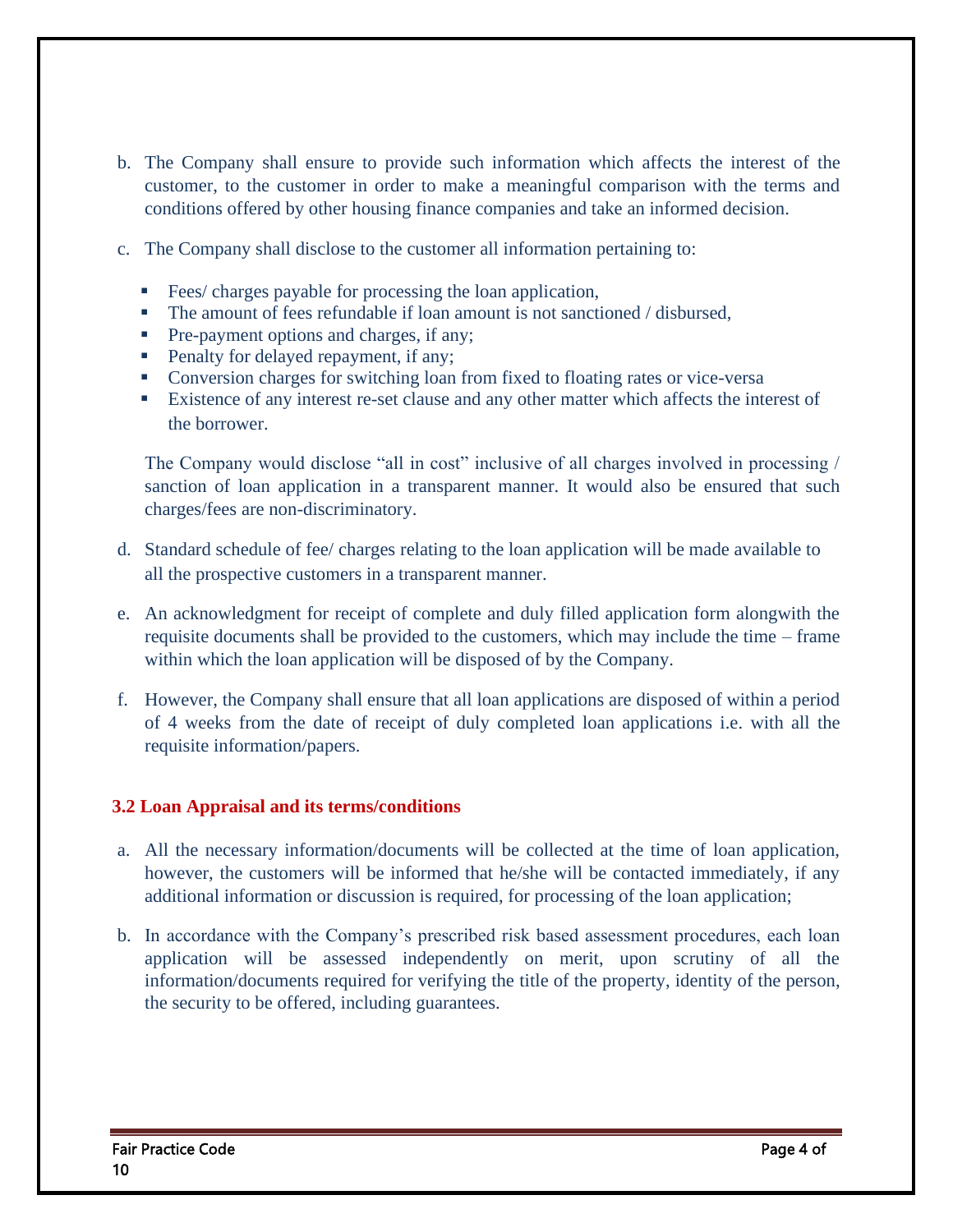- b. The Company shall ensure to provide such information which affects the interest of the customer, to the customer in order to make a meaningful comparison with the terms and conditions offered by other housing finance companies and take an informed decision.
- c. The Company shall disclose to the customer all information pertaining to:
	- Fees/ charges payable for processing the loan application,
	- **•** The amount of fees refundable if loan amount is not sanctioned / disbursed,
	- Pre-payment options and charges, if any;
	- Penalty for delayed repayment, if any;
	- Conversion charges for switching loan from fixed to floating rates or vice-versa
	- Existence of any interest re-set clause and any other matter which affects the interest of the borrower.

The Company would disclose "all in cost" inclusive of all charges involved in processing / sanction of loan application in a transparent manner. It would also be ensured that such charges/fees are non-discriminatory.

- d. Standard schedule of fee/ charges relating to the loan application will be made available to all the prospective customers in a transparent manner.
- e. An acknowledgment for receipt of complete and duly filled application form alongwith the requisite documents shall be provided to the customers, which may include the time – frame within which the loan application will be disposed of by the Company.
- f. However, the Company shall ensure that all loan applications are disposed of within a period of 4 weeks from the date of receipt of duly completed loan applications i.e. with all the requisite information/papers.

#### **3.2 Loan Appraisal and its terms/conditions**

- a. All the necessary information/documents will be collected at the time of loan application, however, the customers will be informed that he/she will be contacted immediately, if any additional information or discussion is required, for processing of the loan application;
- b. In accordance with the Company's prescribed risk based assessment procedures, each loan application will be assessed independently on merit, upon scrutiny of all the information/documents required for verifying the title of the property, identity of the person, the security to be offered, including guarantees.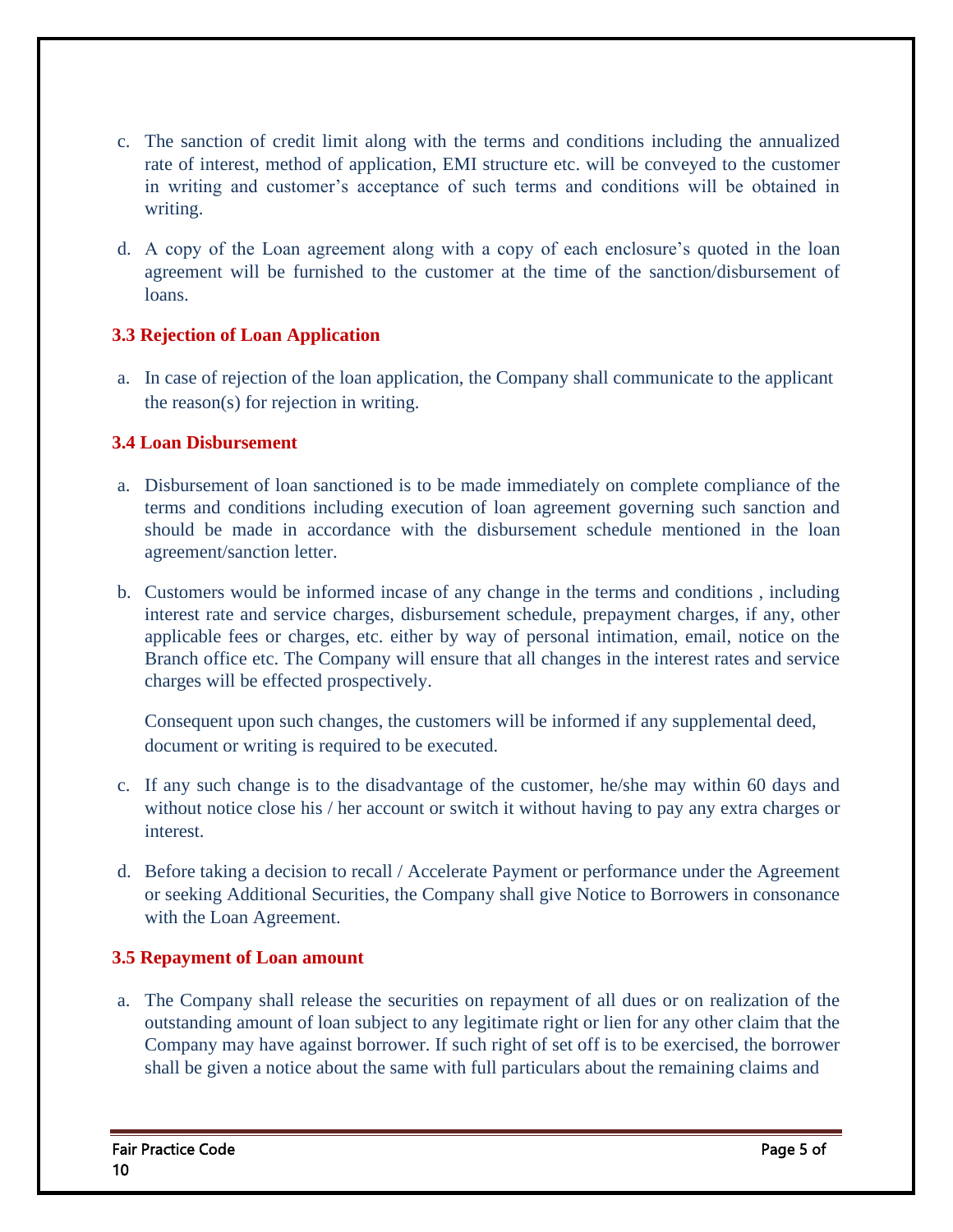- c. The sanction of credit limit along with the terms and conditions including the annualized rate of interest, method of application, EMI structure etc. will be conveyed to the customer in writing and customer's acceptance of such terms and conditions will be obtained in writing.
- d. A copy of the Loan agreement along with a copy of each enclosure's quoted in the loan agreement will be furnished to the customer at the time of the sanction/disbursement of loans.

#### **3.3 Rejection of Loan Application**

a. In case of rejection of the loan application, the Company shall communicate to the applicant the reason(s) for rejection in writing.

#### **3.4 Loan Disbursement**

- a. Disbursement of loan sanctioned is to be made immediately on complete compliance of the terms and conditions including execution of loan agreement governing such sanction and should be made in accordance with the disbursement schedule mentioned in the loan agreement/sanction letter.
- b. Customers would be informed incase of any change in the terms and conditions , including interest rate and service charges, disbursement schedule, prepayment charges, if any, other applicable fees or charges, etc. either by way of personal intimation, email, notice on the Branch office etc. The Company will ensure that all changes in the interest rates and service charges will be effected prospectively.

Consequent upon such changes, the customers will be informed if any supplemental deed, document or writing is required to be executed.

- c. If any such change is to the disadvantage of the customer, he/she may within 60 days and without notice close his / her account or switch it without having to pay any extra charges or interest.
- d. Before taking a decision to recall / Accelerate Payment or performance under the Agreement or seeking Additional Securities, the Company shall give Notice to Borrowers in consonance with the Loan Agreement.

#### **3.5 Repayment of Loan amount**

a. The Company shall release the securities on repayment of all dues or on realization of the outstanding amount of loan subject to any legitimate right or lien for any other claim that the Company may have against borrower. If such right of set off is to be exercised, the borrower shall be given a notice about the same with full particulars about the remaining claims and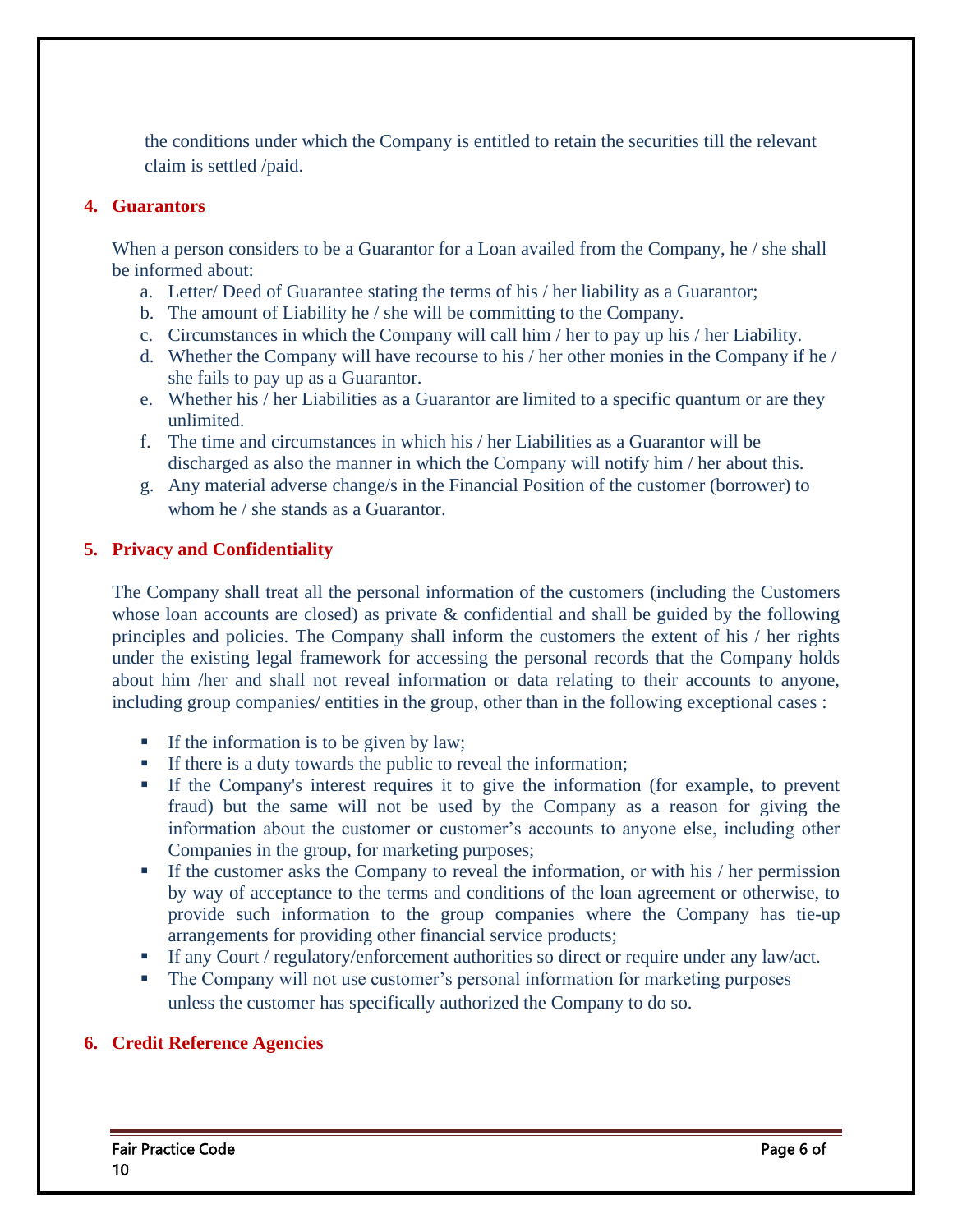the conditions under which the Company is entitled to retain the securities till the relevant claim is settled /paid.

#### **4. Guarantors**

When a person considers to be a Guarantor for a Loan availed from the Company, he / she shall be informed about:

- a. Letter/ Deed of Guarantee stating the terms of his / her liability as a Guarantor;
- b. The amount of Liability he / she will be committing to the Company.
- c. Circumstances in which the Company will call him / her to pay up his / her Liability.
- d. Whether the Company will have recourse to his / her other monies in the Company if he / she fails to pay up as a Guarantor.
- e. Whether his / her Liabilities as a Guarantor are limited to a specific quantum or are they unlimited.
- f. The time and circumstances in which his / her Liabilities as a Guarantor will be discharged as also the manner in which the Company will notify him / her about this.
- g. Any material adverse change/s in the Financial Position of the customer (borrower) to whom he / she stands as a Guarantor.

#### **5. Privacy and Confidentiality**

The Company shall treat all the personal information of the customers (including the Customers whose loan accounts are closed) as private & confidential and shall be guided by the following principles and policies. The Company shall inform the customers the extent of his / her rights under the existing legal framework for accessing the personal records that the Company holds about him /her and shall not reveal information or data relating to their accounts to anyone, including group companies/ entities in the group, other than in the following exceptional cases :

- If the information is to be given by law;
- **•** If there is a duty towards the public to reveal the information;
- If the Company's interest requires it to give the information (for example, to prevent fraud) but the same will not be used by the Company as a reason for giving the information about the customer or customer's accounts to anyone else, including other Companies in the group, for marketing purposes;
- **•** If the customer asks the Company to reveal the information, or with his / her permission by way of acceptance to the terms and conditions of the loan agreement or otherwise, to provide such information to the group companies where the Company has tie-up arrangements for providing other financial service products;
- If any Court / regulatory/enforcement authorities so direct or require under any law/act.
- **•** The Company will not use customer's personal information for marketing purposes unless the customer has specifically authorized the Company to do so.

#### **6. Credit Reference Agencies**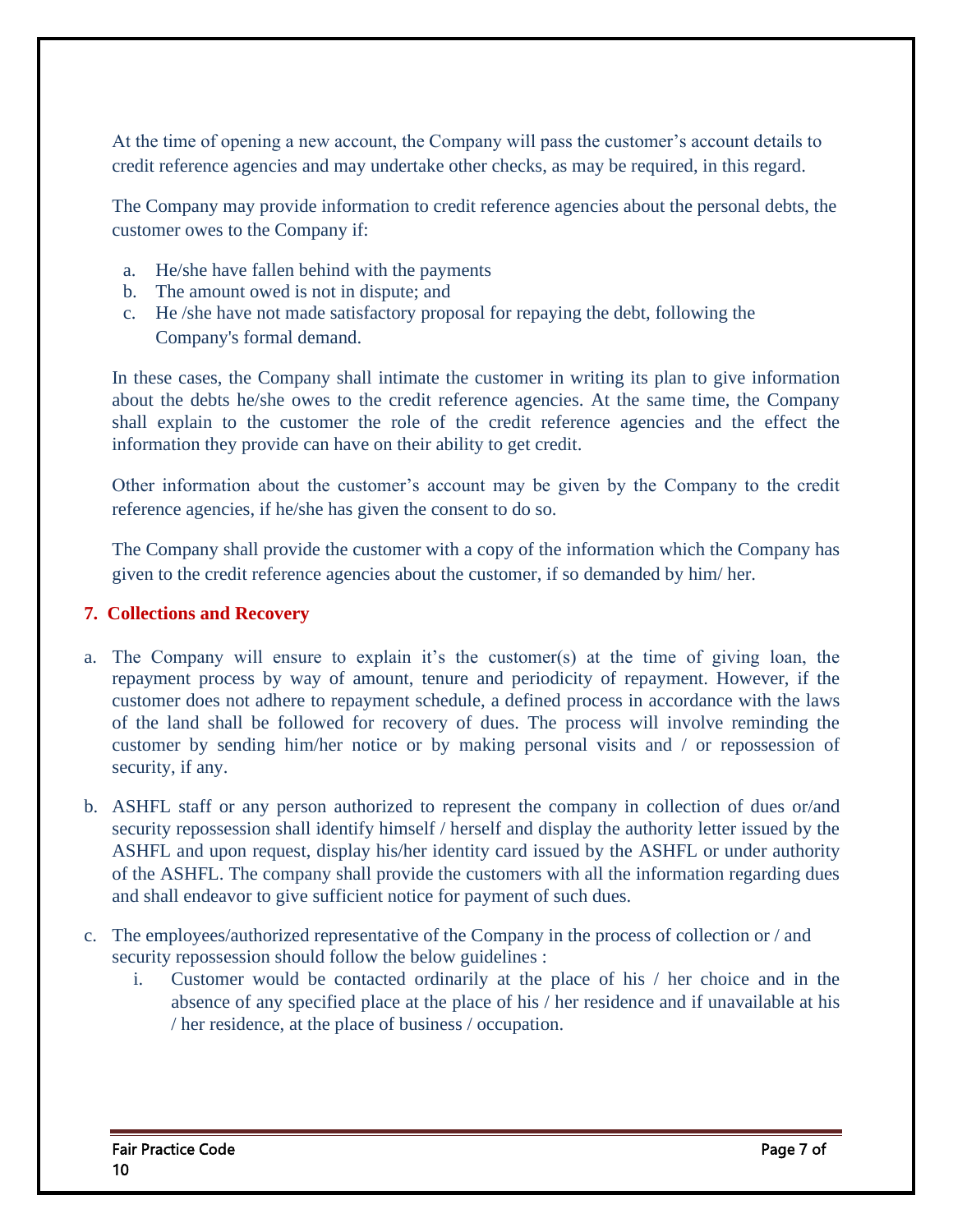At the time of opening a new account, the Company will pass the customer's account details to credit reference agencies and may undertake other checks, as may be required, in this regard.

The Company may provide information to credit reference agencies about the personal debts, the customer owes to the Company if:

- a. He/she have fallen behind with the payments
- b. The amount owed is not in dispute; and
- c. He /she have not made satisfactory proposal for repaying the debt, following the Company's formal demand.

In these cases, the Company shall intimate the customer in writing its plan to give information about the debts he/she owes to the credit reference agencies. At the same time, the Company shall explain to the customer the role of the credit reference agencies and the effect the information they provide can have on their ability to get credit.

Other information about the customer's account may be given by the Company to the credit reference agencies, if he/she has given the consent to do so.

The Company shall provide the customer with a copy of the information which the Company has given to the credit reference agencies about the customer, if so demanded by him/ her.

#### **7. Collections and Recovery**

- a. The Company will ensure to explain it's the customer(s) at the time of giving loan, the repayment process by way of amount, tenure and periodicity of repayment. However, if the customer does not adhere to repayment schedule, a defined process in accordance with the laws of the land shall be followed for recovery of dues. The process will involve reminding the customer by sending him/her notice or by making personal visits and / or repossession of security, if any.
- b. ASHFL staff or any person authorized to represent the company in collection of dues or/and security repossession shall identify himself / herself and display the authority letter issued by the ASHFL and upon request, display his/her identity card issued by the ASHFL or under authority of the ASHFL. The company shall provide the customers with all the information regarding dues and shall endeavor to give sufficient notice for payment of such dues.
- c. The employees/authorized representative of the Company in the process of collection or / and security repossession should follow the below guidelines :
	- i. Customer would be contacted ordinarily at the place of his / her choice and in the absence of any specified place at the place of his / her residence and if unavailable at his / her residence, at the place of business / occupation.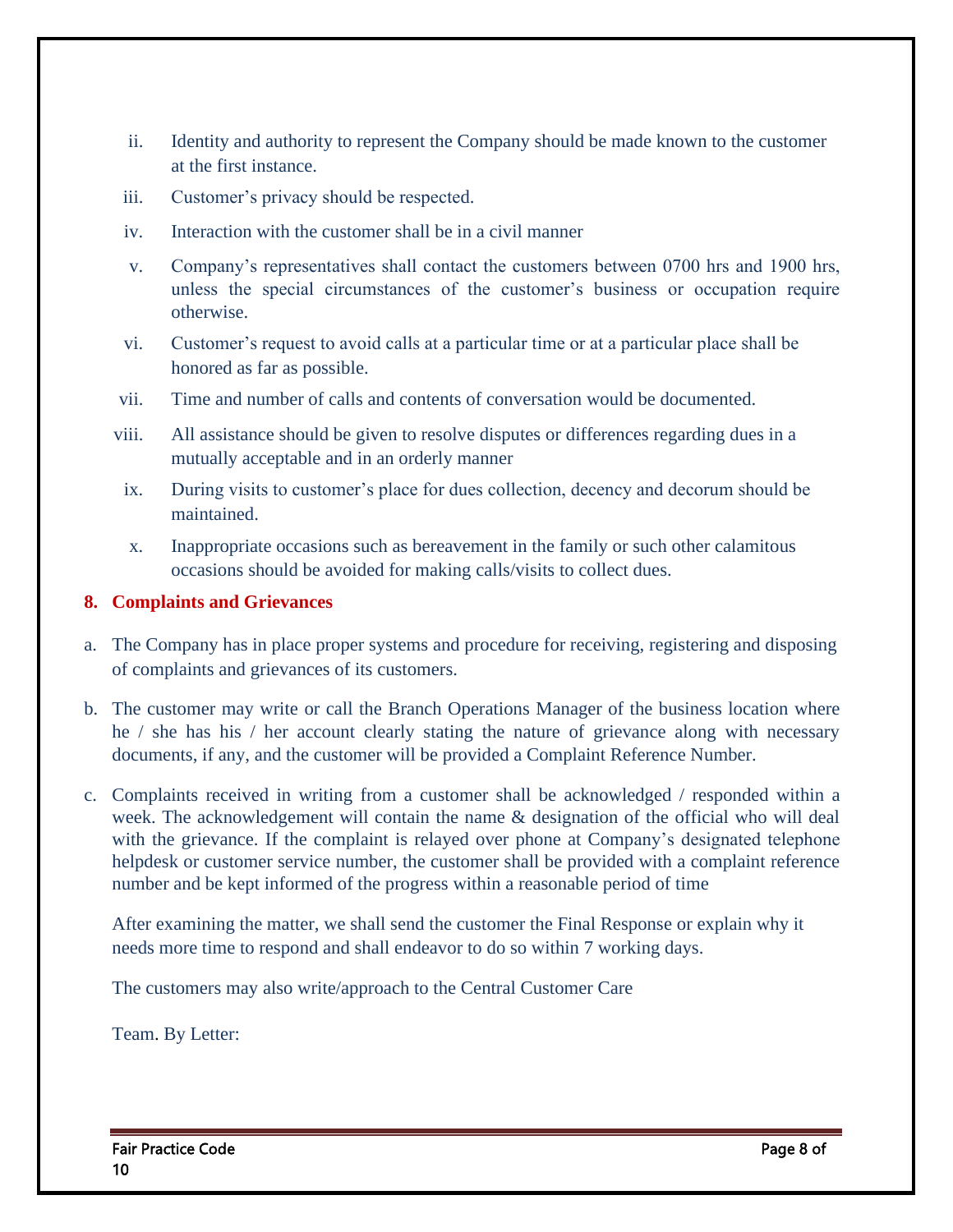- ii. Identity and authority to represent the Company should be made known to the customer at the first instance.
- iii. Customer's privacy should be respected.
- iv. Interaction with the customer shall be in a civil manner
- v. Company's representatives shall contact the customers between 0700 hrs and 1900 hrs, unless the special circumstances of the customer's business or occupation require otherwise.
- vi. Customer's request to avoid calls at a particular time or at a particular place shall be honored as far as possible.
- vii. Time and number of calls and contents of conversation would be documented.
- viii. All assistance should be given to resolve disputes or differences regarding dues in a mutually acceptable and in an orderly manner
- ix. During visits to customer's place for dues collection, decency and decorum should be maintained.
- x. Inappropriate occasions such as bereavement in the family or such other calamitous occasions should be avoided for making calls/visits to collect dues.

#### **8. Complaints and Grievances**

- a. The Company has in place proper systems and procedure for receiving, registering and disposing of complaints and grievances of its customers.
- b. The customer may write or call the Branch Operations Manager of the business location where he / she has his / her account clearly stating the nature of grievance along with necessary documents, if any, and the customer will be provided a Complaint Reference Number.
- c. Complaints received in writing from a customer shall be acknowledged / responded within a week. The acknowledgement will contain the name  $\&$  designation of the official who will deal with the grievance. If the complaint is relayed over phone at Company's designated telephone helpdesk or customer service number, the customer shall be provided with a complaint reference number and be kept informed of the progress within a reasonable period of time

After examining the matter, we shall send the customer the Final Response or explain why it needs more time to respond and shall endeavor to do so within 7 working days.

The customers may also write/approach to the Central Customer Care

Team. By Letter: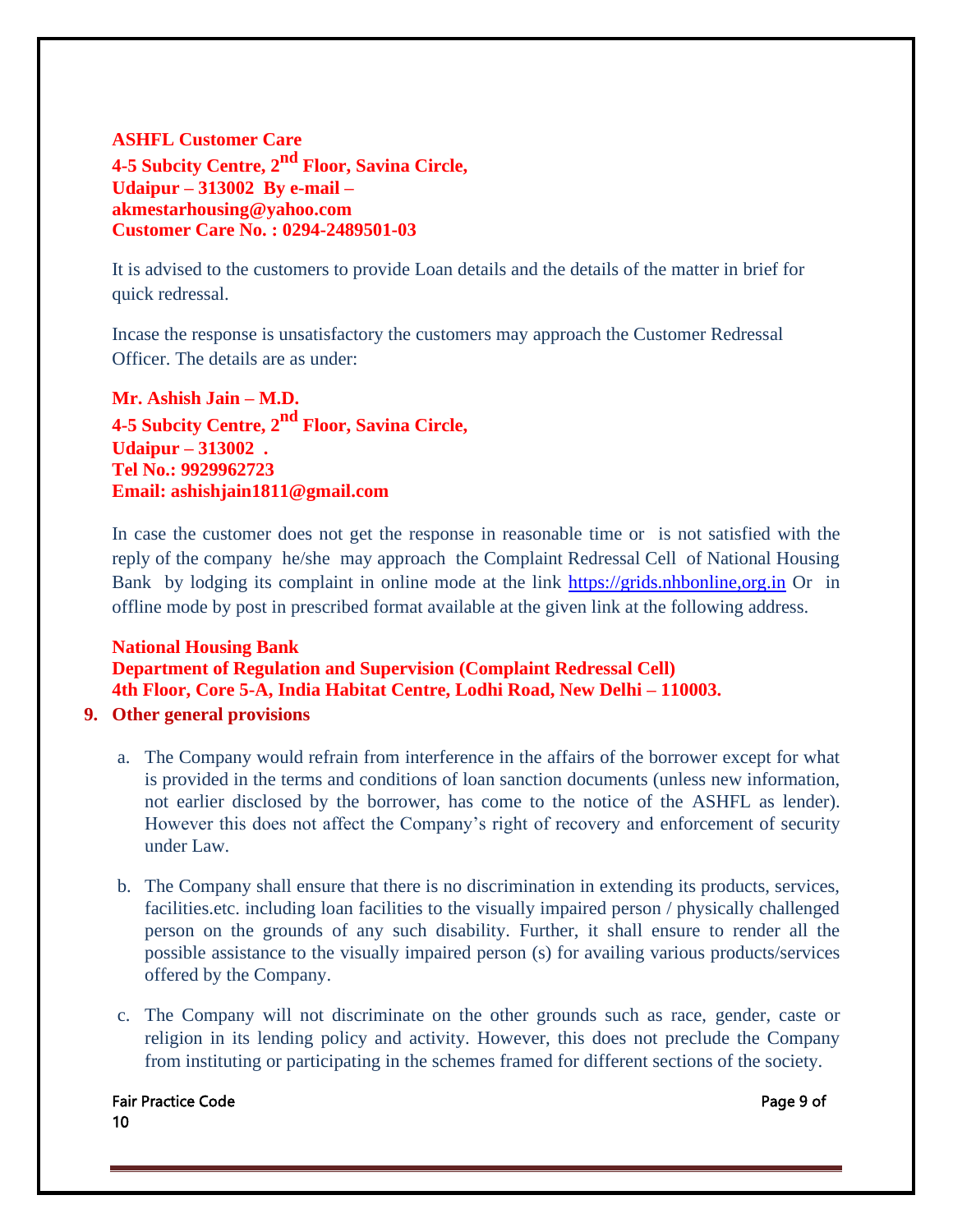### **ASHFL Customer Care 4-5 Subcity Centre, 2nd Floor, Savina Circle, Udaipur – 313002 By e-mail – akmestarhousing@yahoo.com Customer Care No. : 0294-2489501-03**

It is advised to the customers to provide Loan details and the details of the matter in brief for quick redressal.

Incase the response is unsatisfactory the customers may approach the Customer Redressal Officer. The details are as under:

**Mr. Ashish Jain – M.D. 4-5 Subcity Centre, 2nd Floor, Savina Circle, Udaipur – 313002 . Tel No.: 9929962723 Email: ashishjain1811@gmail.com**

In case the customer does not get the response in reasonable time or is not satisfied with the reply of the company he/she may approach the Complaint Redressal Cell of National Housing Bank by lodging its complaint in online mode at the link [https://grids.nhbonline,org.in](https://grids.nhbonline,org.in/) Or in offline mode by post in prescribed format available at the given link at the following address.

# **National Housing Bank Department of Regulation and Supervision (Complaint Redressal Cell) 4th Floor, Core 5-A, India Habitat Centre, Lodhi Road, New Delhi – 110003.**

- **9. Other general provisions**
	- a. The Company would refrain from interference in the affairs of the borrower except for what is provided in the terms and conditions of loan sanction documents (unless new information, not earlier disclosed by the borrower, has come to the notice of the ASHFL as lender). However this does not affect the Company's right of recovery and enforcement of security under Law.
	- b. The Company shall ensure that there is no discrimination in extending its products, services, facilities.etc. including loan facilities to the visually impaired person / physically challenged person on the grounds of any such disability. Further, it shall ensure to render all the possible assistance to the visually impaired person (s) for availing various products/services offered by the Company.
	- c. The Company will not discriminate on the other grounds such as race, gender, caste or religion in its lending policy and activity. However, this does not preclude the Company from instituting or participating in the schemes framed for different sections of the society.

#### Fair Practice Code **Page 9 of** Page 9 of 10